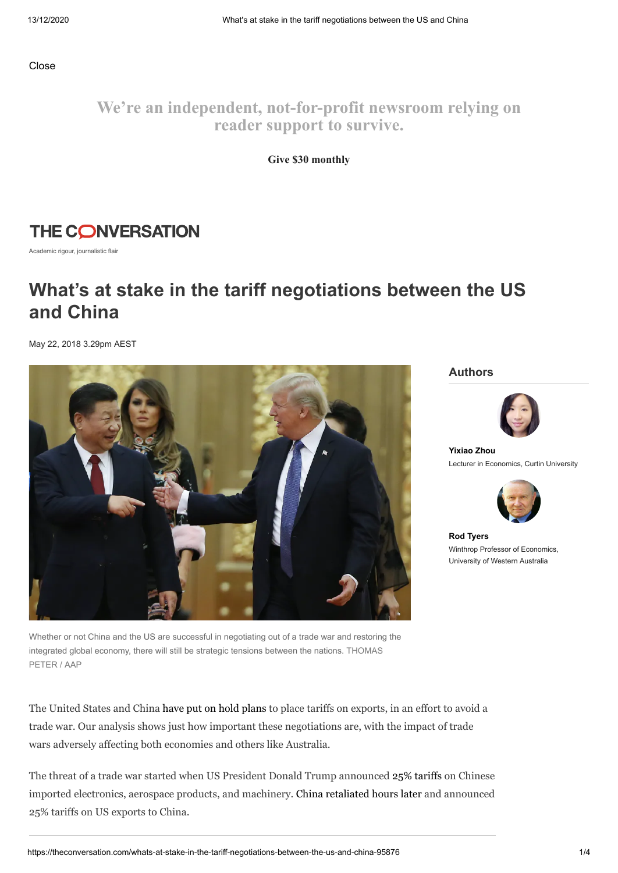Close

**We're an independent, not-for-profit newsroom relying on reader support to survive.**

**Give \$30 monthly**

### **THE CONVERSATION**

Academic rigour, journalistic flair

## **What's at stake in the tariff negotiations between the US and China**

May 22, 2018 3.29pm AEST



Whether or not China and the US are successful in negotiating out of a trade war and restoring the integrated global economy, there will still be strategic tensions between the nations. THOMAS PETER / AAP

The United States and China have put on hold [plans](https://asia.nikkei.com/Economy/Trade-tensions/US-and-China-agree-to-substantially-reduce-trade-deficit-statement) to place tariffs on exports, in an effort to avoid a trade war. Our analysis shows just how important these negotiations are, with the impact of trade wars adversely affecting both economies and others like Australia.

The threat of a trade war started when US President Donald Trump announced 25% [tariffs](https://www.washingtonpost.com/business/economy/trump-administration-targets-chinese-electronics-aerospace-and-machinery-goods-with-50-billion-in-tariffs/2018/04/03/9be42e5e-3786-11e8-9c0a-85d477d9a226_story.html?noredirect=on&utm_term=.aad0be28e9ec) on Chinese imported electronics, aerospace products, and machinery. China [retaliated](https://uk.reuters.com/article/uk-usa-china-trade/u-s-escalates-china-trade-showdown-with-tariffs-on-50-billion-in-imports-idUKKCN1HA2R3) hours later and announced 25% tariffs on US exports to China.

**Authors**



**[Yixiao](https://theconversation.com/profiles/yixiao-zhou-320417) Zhou** Lecturer in Economics, Curtin University



**Rod [Tyers](https://theconversation.com/profiles/rod-tyers-364827)** Winthrop Professor of Economics, University of Western Australia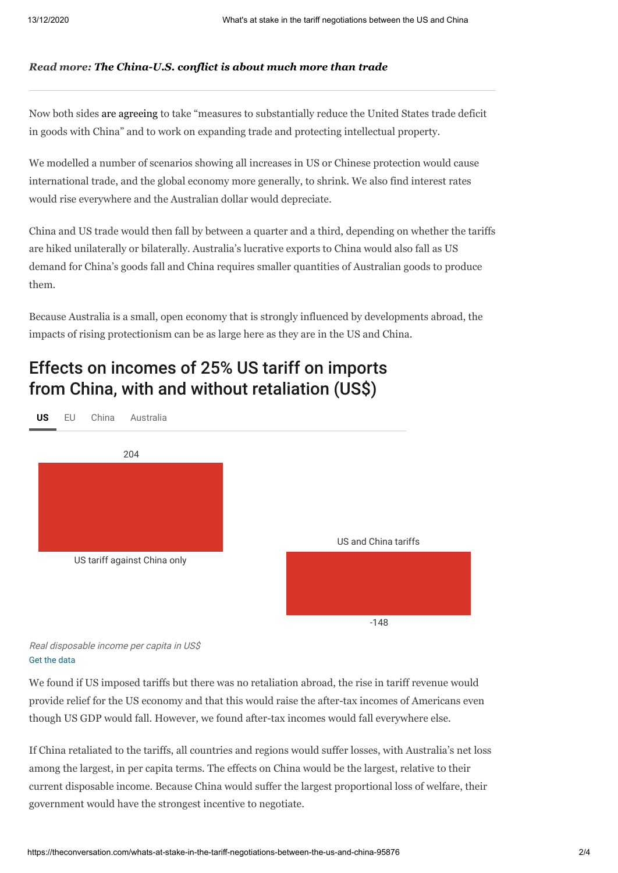#### *Read more: The [China-U.S.](https://theconversation.com/the-china-u-s-conflict-is-about-much-more-than-trade-96406) conflict is about much more than trade*

Now both sides are [agreeing](https://asia.nikkei.com/Economy/Trade-tensions/US-and-China-agree-to-substantially-reduce-trade-deficit-statement) to take "measures to substantially reduce the United States trade deficit in goods with China" and to work on expanding trade and protecting intellectual property.

We modelled a number of scenarios showing all increases in US or Chinese protection would cause international trade, and the global economy more generally, to shrink. We also find interest rates would rise everywhere and the Australian dollar would depreciate.

China and US trade would then fall by between a quarter and a third, depending on whether the tariffs are hiked unilaterally or bilaterally. Australia's lucrative exports to China would also fall as US demand for China's goods fall and China requires smaller quantities of Australian goods to produce them.

Because Australia is a small, open economy that is strongly influenced by developments abroad, the impacts of rising protectionism can be as large here as they are in the US and China.

## Effects on incomes of 25% US tariff on imports from China, with and without retaliation (US\$)



[Get the data](data:application/octet-stream;charset=utf-8,Scenario%2CUS%2CEU%2CChina%2CAustralia%0AUS%20tariff%20against%20China%20only%2C204%2C-244%2C-198%2C-364%0AUS%20and%20China%20tariffs%2C-148%2C-70%2C-202%2C-198)

We found if US imposed tariffs but there was no retaliation abroad, the rise in tariff revenue would provide relief for the US economy and that this would raise the after-tax incomes of Americans even though US GDP would fall. However, we found after-tax incomes would fall everywhere else.

If China retaliated to the tariffs, all countries and regions would suffer losses, with Australia's net loss among the largest, in per capita terms. The effects on China would be the largest, relative to their current disposable income. Because China would suffer the largest proportional loss of welfare, their government would have the strongest incentive to negotiate.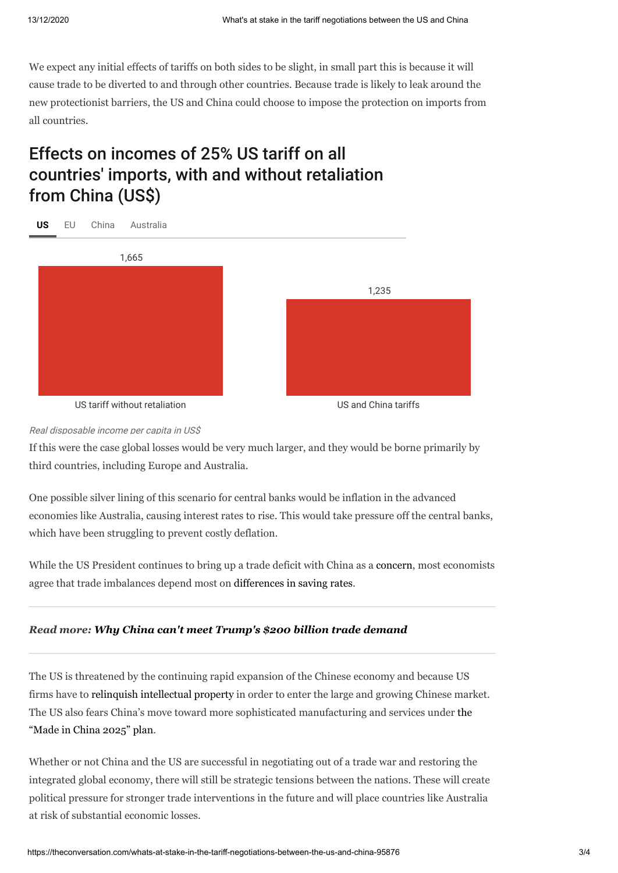We expect any initial effects of tariffs on both sides to be slight, in small part this is because it will cause trade to be diverted to and through other countries. Because trade is likely to leak around the new protectionist barriers, the US and China could choose to impose the protection on imports from all countries.

# Effects on incomes of 25% US tariff on all countries' imports, with and without retaliation from China (US\$)



#### Real disposable income per capita in US\$

If this were the case global losses would be very much larger, and they would be borne primarily by third countries, including Europe and Australia.

One possible silver lining of this scenario for central banks would be inflation in the advanced economies like Australia, causing interest rates to rise. This would take pressure off the central banks, which have been struggling to prevent costly deflation.

While the US President continues to bring up a trade deficit with China as a [concern,](https://www.chathamhouse.org/expert/comment/trump-it-s-trade-deficit-above-all-else) most economists agree that trade imbalances depend most on [differences](https://www.nytimes.com/2018/03/05/us/politics/trade-deficit-tariffs-economists-trump.html) in saving rates.

#### *Read more: Why China can't meet [Trump's](https://theconversation.com/why-china-cant-meet-trumps-200-billion-trade-demand-96888) \$200 billion trade demand*

The US is threatened by the continuing rapid expansion of the Chinese economy and because US firms have to relinquish [intellectual](https://www.forbes.com/sites/jackperkowski/2012/04/18/protecting-intellectual-property-rights-in-china/#631d907a3458) property in order to enter the large and growing Chinese market. The US also fears China's move toward more sophisticated [manufacturing](http://english.gov.cn/2016special/madeinchina2025/) and services under the "Made in China 2025" plan.

Whether or not China and the US are successful in negotiating out of a trade war and restoring the integrated global economy, there will still be strategic tensions between the nations. These will create political pressure for stronger trade interventions in the future and will place countries like Australia at risk of substantial economic losses.